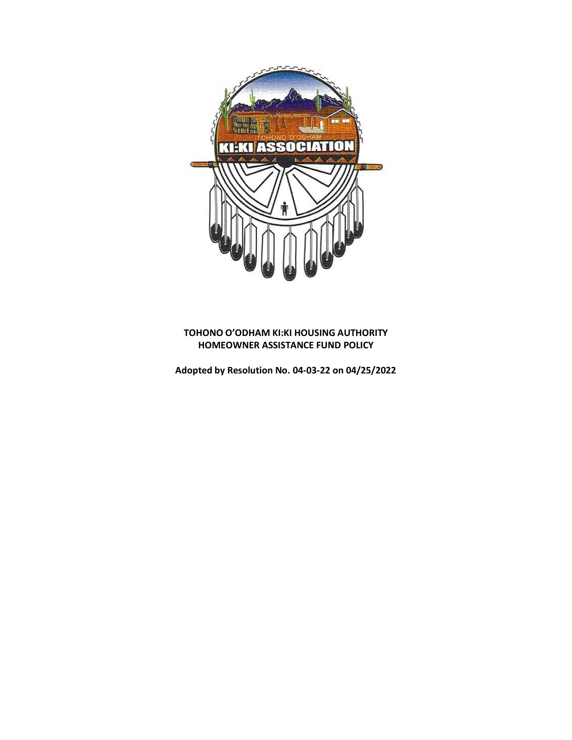

# **TOHONO O'ODHAM KI:KI HOUSING AUTHORITY HOMEOWNER ASSISTANCE FUND POLICY**

**Adopted by Resolution No. 04-03-22 on 04/25/2022**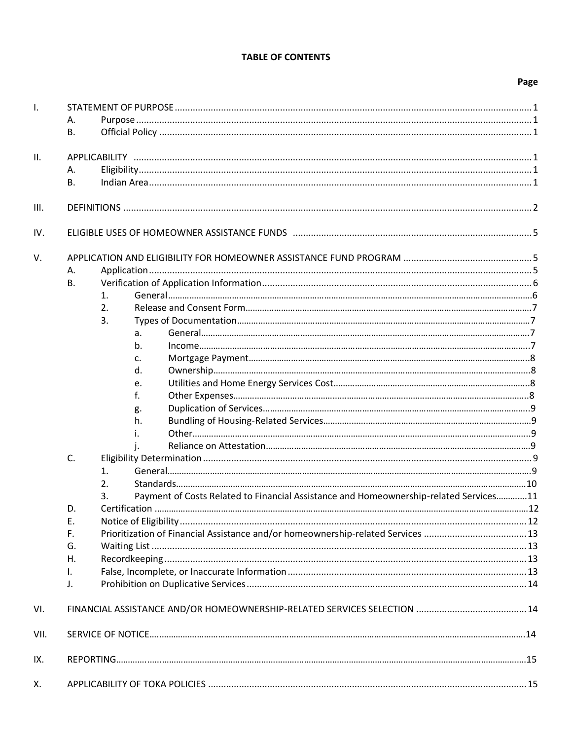# **TABLE OF CONTENTS**

# Page

| $\mathbf{I}$ . |                |                                                                                       |  |  |  |  |  |
|----------------|----------------|---------------------------------------------------------------------------------------|--|--|--|--|--|
|                | Α.             |                                                                                       |  |  |  |  |  |
|                | В.             |                                                                                       |  |  |  |  |  |
|                |                |                                                                                       |  |  |  |  |  |
| II.            |                |                                                                                       |  |  |  |  |  |
|                | А.             |                                                                                       |  |  |  |  |  |
|                | <b>B.</b>      |                                                                                       |  |  |  |  |  |
| III.           |                |                                                                                       |  |  |  |  |  |
| IV.            |                |                                                                                       |  |  |  |  |  |
| V.             |                |                                                                                       |  |  |  |  |  |
|                | Α.             |                                                                                       |  |  |  |  |  |
|                | <b>B.</b>      |                                                                                       |  |  |  |  |  |
|                |                | $\mathbf{1}$ .                                                                        |  |  |  |  |  |
|                |                | 2.                                                                                    |  |  |  |  |  |
|                |                | 3.                                                                                    |  |  |  |  |  |
|                |                | a.                                                                                    |  |  |  |  |  |
|                |                | b.                                                                                    |  |  |  |  |  |
|                |                | c.                                                                                    |  |  |  |  |  |
|                |                | d.                                                                                    |  |  |  |  |  |
|                |                | e.                                                                                    |  |  |  |  |  |
|                |                | f.                                                                                    |  |  |  |  |  |
|                |                | g.                                                                                    |  |  |  |  |  |
|                |                | h.                                                                                    |  |  |  |  |  |
|                |                |                                                                                       |  |  |  |  |  |
|                |                |                                                                                       |  |  |  |  |  |
|                | C.             |                                                                                       |  |  |  |  |  |
|                |                | $\mathbf{1}$ .                                                                        |  |  |  |  |  |
|                |                | 2.                                                                                    |  |  |  |  |  |
|                |                | Payment of Costs Related to Financial Assistance and Homeownership-related Services11 |  |  |  |  |  |
|                | D.             |                                                                                       |  |  |  |  |  |
|                | Ε.             |                                                                                       |  |  |  |  |  |
|                | F.             |                                                                                       |  |  |  |  |  |
|                | G.             |                                                                                       |  |  |  |  |  |
|                | Η.             |                                                                                       |  |  |  |  |  |
|                | I.             |                                                                                       |  |  |  |  |  |
|                | $\mathbf{J}$ . |                                                                                       |  |  |  |  |  |
|                |                |                                                                                       |  |  |  |  |  |
| VI.            |                |                                                                                       |  |  |  |  |  |
| VII.           |                |                                                                                       |  |  |  |  |  |
| IX.            |                |                                                                                       |  |  |  |  |  |
| Х.             |                |                                                                                       |  |  |  |  |  |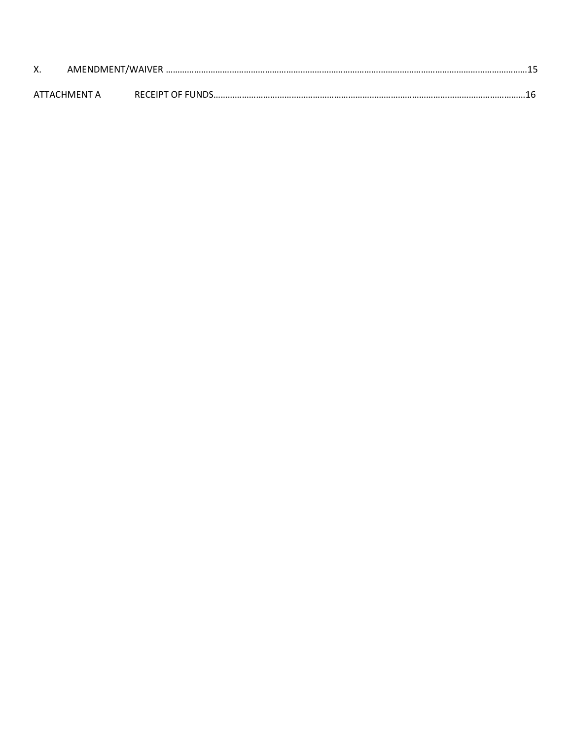| Х. |              |                         |  |
|----|--------------|-------------------------|--|
|    | ATTACHMFNT A | <b>RECEIPT OF FUNDS</b> |  |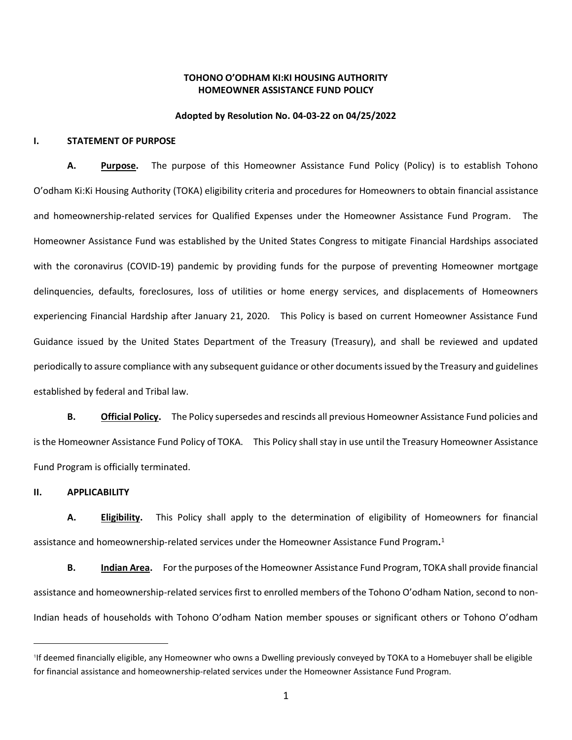## **TOHONO O'ODHAM KI:KI HOUSING AUTHORITY HOMEOWNER ASSISTANCE FUND POLICY**

#### **Adopted by Resolution No. 04-03-22 on 04/25/2022**

#### **I. STATEMENT OF PURPOSE**

**A. Purpose.** The purpose of this Homeowner Assistance Fund Policy (Policy) is to establish Tohono O'odham Ki:Ki Housing Authority (TOKA) eligibility criteria and procedures for Homeowners to obtain financial assistance and homeownership-related services for Qualified Expenses under the Homeowner Assistance Fund Program. The Homeowner Assistance Fund was established by the United States Congress to mitigate Financial Hardships associated with the coronavirus (COVID-19) pandemic by providing funds for the purpose of preventing Homeowner mortgage delinquencies, defaults, foreclosures, loss of utilities or home energy services, and displacements of Homeowners experiencing Financial Hardship after January 21, 2020. This Policy is based on current Homeowner Assistance Fund Guidance issued by the United States Department of the Treasury (Treasury), and shall be reviewed and updated periodically to assure compliance with any subsequent guidance or other documents issued by the Treasury and guidelines established by federal and Tribal law.

**B. Official Policy.** The Policy supersedes and rescinds all previous Homeowner Assistance Fund policies and is the Homeowner Assistance Fund Policy of TOKA. This Policy shall stay in use until the Treasury Homeowner Assistance Fund Program is officially terminated.

**II. APPLICABILITY** 

**A. Eligibility.** This Policy shall apply to the determination of eligibility of Homeowners for financial assistance and homeownership-related services under the Homeowner Assistance Fund Program**.** 1

**B. Indian Area.** For the purposes of the Homeowner Assistance Fund Program, TOKA shall provide financial assistance and homeownership-related services first to enrolled members of the Tohono O'odham Nation, second to non-Indian heads of households with Tohono O'odham Nation member spouses or significant others or Tohono O'odham

<sup>1</sup> If deemed financially eligible, any Homeowner who owns a Dwelling previously conveyed by TOKA to a Homebuyer shall be eligible for financial assistance and homeownership-related services under the Homeowner Assistance Fund Program.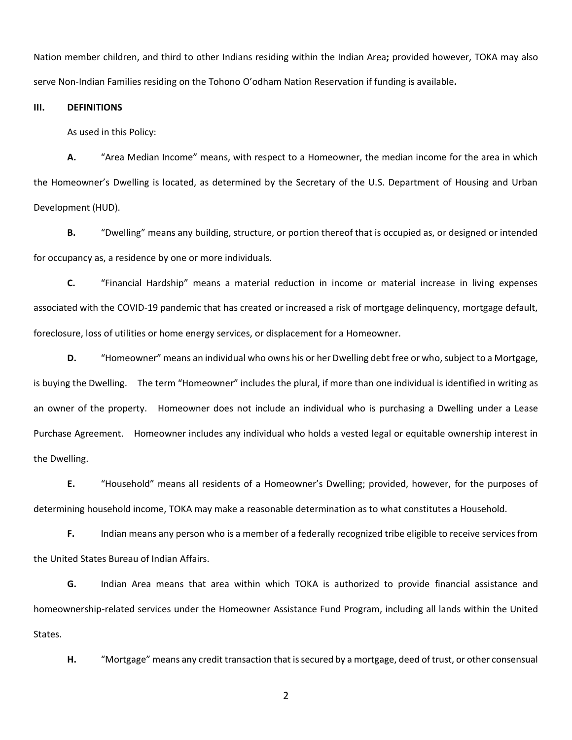Nation member children, and third to other Indians residing within the Indian Area**;** provided however, TOKA may also serve Non-Indian Families residing on the Tohono O'odham Nation Reservation if funding is available**.**

**III. DEFINITIONS**

As used in this Policy:

**A.** "Area Median Income" means, with respect to a Homeowner, the median income for the area in which the Homeowner's Dwelling is located, as determined by the Secretary of the U.S. Department of Housing and Urban Development (HUD).

**B.** "Dwelling" means any building, structure, or portion thereof that is occupied as, or designed or intended for occupancy as, a residence by one or more individuals.

**C.** "Financial Hardship" means a material reduction in income or material increase in living expenses associated with the COVID-19 pandemic that has created or increased a risk of mortgage delinquency, mortgage default, foreclosure, loss of utilities or home energy services, or displacement for a Homeowner.

**D.** "Homeowner" means an individual who owns his or her Dwelling debt free or who, subject to a Mortgage, is buying the Dwelling. The term "Homeowner" includes the plural, if more than one individual is identified in writing as an owner of the property. Homeowner does not include an individual who is purchasing a Dwelling under a Lease Purchase Agreement. Homeowner includes any individual who holds a vested legal or equitable ownership interest in the Dwelling.

**E.** "Household" means all residents of a Homeowner's Dwelling; provided, however, for the purposes of determining household income, TOKA may make a reasonable determination as to what constitutes a Household.

**F.** Indian means any person who is a member of a federally recognized tribe eligible to receive services from the United States Bureau of Indian Affairs.

**G.** Indian Area means that area within which TOKA is authorized to provide financial assistance and homeownership-related services under the Homeowner Assistance Fund Program, including all lands within the United States.

**H.** "Mortgage" means any credit transaction that is secured by a mortgage, deed of trust, or other consensual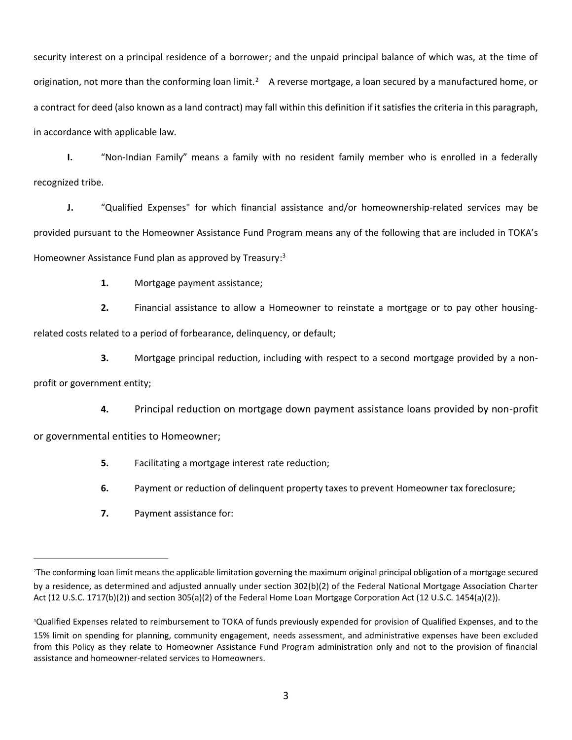security interest on a principal residence of a borrower; and the unpaid principal balance of which was, at the time of origination, not more than the conforming loan limit.<sup>2</sup> A reverse mortgage, a loan secured by a manufactured home, or a contract for deed (also known as a land contract) may fall within this definition if it satisfies the criteria in this paragraph, in accordance with applicable law.

**I.** "Non-Indian Family" means a family with no resident family member who is enrolled in a federally recognized tribe.

**J.** "Qualified Expenses" for which financial assistance and/or homeownership-related services may be provided pursuant to the Homeowner Assistance Fund Program means any of the following that are included in TOKA's Homeowner Assistance Fund plan as approved by Treasury:<sup>3</sup>

**1.** Mortgage payment assistance;

**2.** Financial assistance to allow a Homeowner to reinstate a mortgage or to pay other housing-

related costs related to a period of forbearance, delinquency, or default;

**3.** Mortgage principal reduction, including with respect to a second mortgage provided by a nonprofit or government entity;

**4.** Principal reduction on mortgage down payment assistance loans provided by non-profit

or governmental entities to Homeowner;

- **5.** Facilitating a mortgage interest rate reduction;
- **6.** Payment or reduction of delinquent property taxes to prevent Homeowner tax foreclosure;
- **7.** Payment assistance for:

<sup>2</sup>The conforming loan limit means the applicable limitation governing the maximum original principal obligation of a mortgage secured by a residence, as determined and adjusted annually under section 302(b)(2) of the Federal National Mortgage Association Charter Act (12 U.S.C. 1717(b)(2)) and section 305(a)(2) of the Federal Home Loan Mortgage Corporation Act (12 U.S.C. 1454(a)(2)).

<sup>&</sup>lt;sup>3</sup>Qualified Expenses related to reimbursement to TOKA of funds previously expended for provision of Qualified Expenses, and to the 15% limit on spending for planning, community engagement, needs assessment, and administrative expenses have been excluded from this Policy as they relate to Homeowner Assistance Fund Program administration only and not to the provision of financial assistance and homeowner-related services to Homeowners.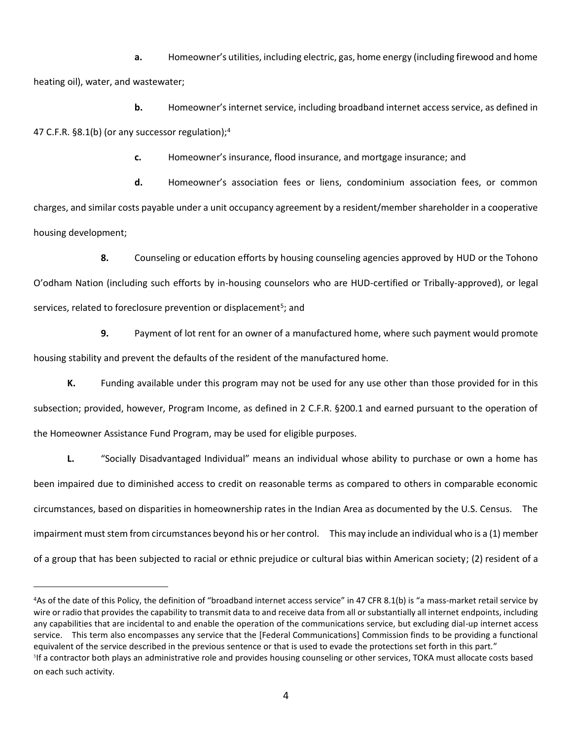**a.** Homeowner's utilities, including electric, gas, home energy (including firewood and home heating oil), water, and wastewater;

**b.** Homeowner's internet service, including broadband internet access service, as defined in 47 C.F.R. §8.1(b) (or any successor regulation);<sup>4</sup>

**c.** Homeowner's insurance, flood insurance, and mortgage insurance; and

**d.** Homeowner's association fees or liens, condominium association fees, or common charges, and similar costs payable under a unit occupancy agreement by a resident/member shareholder in a cooperative housing development;

**8.** Counseling or education efforts by housing counseling agencies approved by HUD or the Tohono O'odham Nation (including such efforts by in-housing counselors who are HUD-certified or Tribally-approved), or legal services, related to foreclosure prevention or displacement<sup>5</sup>; and

**9.** Payment of lot rent for an owner of a manufactured home, where such payment would promote housing stability and prevent the defaults of the resident of the manufactured home.

**K.** Funding available under this program may not be used for any use other than those provided for in this subsection; provided, however, Program Income, as defined in 2 C.F.R. §200.1 and earned pursuant to the operation of the Homeowner Assistance Fund Program, may be used for eligible purposes.

**L.** "Socially Disadvantaged Individual" means an individual whose ability to purchase or own a home has been impaired due to diminished access to credit on reasonable terms as compared to others in comparable economic circumstances, based on disparities in homeownership rates in the Indian Area as documented by the U.S. Census. The impairment must stem from circumstances beyond his or her control. This may include an individual who is a (1) member of a group that has been subjected to racial or ethnic prejudice or cultural bias within American society; (2) resident of a

<sup>4</sup>As of the date of this Policy, the definition of "broadband internet access service" in 47 CFR 8.1(b) is "a mass-market retail service by wire or radio that provides the capability to transmit data to and receive data from all or substantially all internet endpoints, including any capabilities that are incidental to and enable the operation of the communications service, but excluding dial-up internet access service. This term also encompasses any service that the [Federal Communications] Commission finds to be providing a functional equivalent of the service described in the previous sentence or that is used to evade the protections set forth in this part." <sup>5</sup>If a contractor both plays an administrative role and provides housing counseling or other services, TOKA must allocate costs based on each such activity.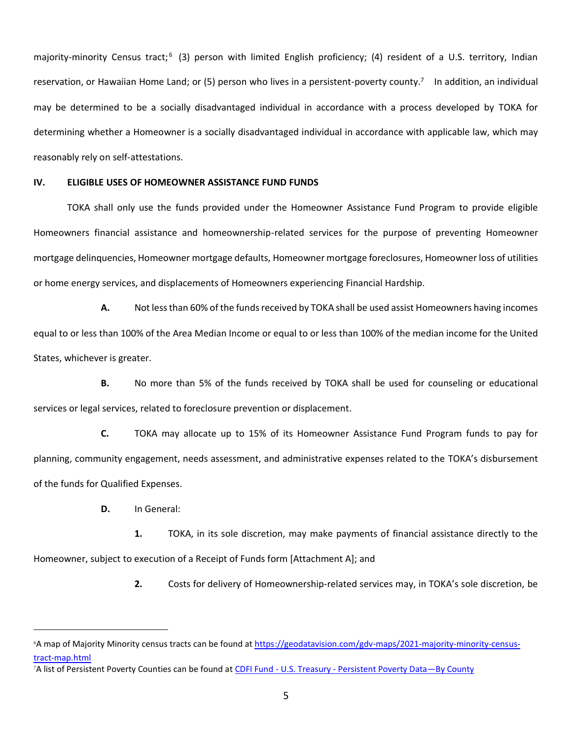majority-minority Census tract;<sup>6</sup> (3) person with limited English proficiency; (4) resident of a U.S. territory, Indian reservation, or Hawaiian Home Land; or (5) person who lives in a persistent-poverty county.<sup>7</sup> In addition, an individual may be determined to be a socially disadvantaged individual in accordance with a process developed by TOKA for determining whether a Homeowner is a socially disadvantaged individual in accordance with applicable law, which may reasonably rely on self-attestations.

### **IV. ELIGIBLE USES OF HOMEOWNER ASSISTANCE FUND FUNDS**

TOKA shall only use the funds provided under the Homeowner Assistance Fund Program to provide eligible Homeowners financial assistance and homeownership-related services for the purpose of preventing Homeowner mortgage delinquencies, Homeowner mortgage defaults, Homeowner mortgage foreclosures, Homeowner loss of utilities or home energy services, and displacements of Homeowners experiencing Financial Hardship.

**A.** Not less than 60% of the funds received by TOKA shall be used assist Homeowners having incomes equal to or less than 100% of the Area Median Income or equal to or less than 100% of the median income for the United States, whichever is greater.

**B.** No more than 5% of the funds received by TOKA shall be used for counseling or educational services or legal services, related to foreclosure prevention or displacement.

**C.** TOKA may allocate up to 15% of its Homeowner Assistance Fund Program funds to pay for planning, community engagement, needs assessment, and administrative expenses related to the TOKA's disbursement of the funds for Qualified Expenses.

**D.** In General:

**1.** TOKA, in its sole discretion, may make payments of financial assistance directly to the Homeowner, subject to execution of a Receipt of Funds form [Attachment A]; and

**2.** Costs for delivery of Homeownership-related services may, in TOKA's sole discretion, be

<sup>6</sup>A map of Majority Minority census tracts can be found a[t https://geodatavision.com/gdv-maps/2021-majority-minority-census](https://geodatavision.com/gdv-maps/2021-majority-minority-census-tract-map.html)[tract-map.html](https://geodatavision.com/gdv-maps/2021-majority-minority-census-tract-map.html)

<sup>7</sup>A list of Persistent Poverty Counties can be found at CDFI Fund - U.S. Treasury - [Persistent Poverty Data](https://mycdfi.cdfifund.gov/what_we_do/persistentpoverty.asp)—By County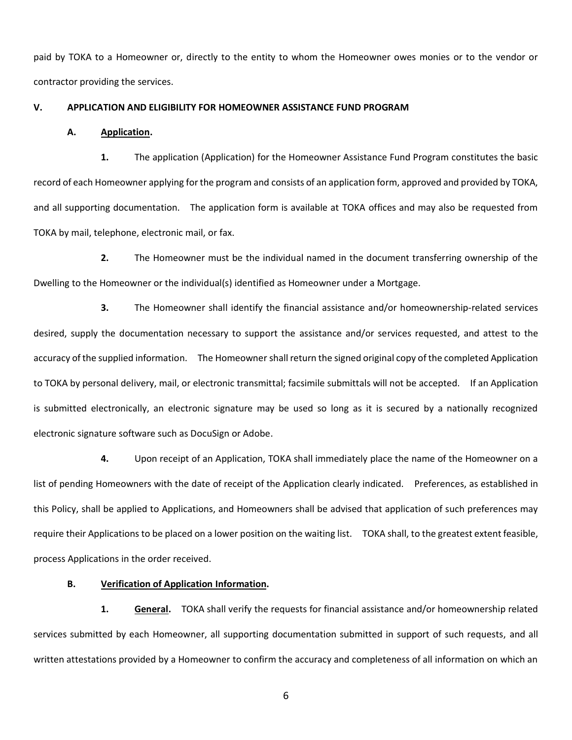paid by TOKA to a Homeowner or, directly to the entity to whom the Homeowner owes monies or to the vendor or contractor providing the services.

## **V. APPLICATION AND ELIGIBILITY FOR HOMEOWNER ASSISTANCE FUND PROGRAM**

#### **A. Application.**

**1.** The application (Application) for the Homeowner Assistance Fund Program constitutes the basic record of each Homeowner applying for the program and consists of an application form, approved and provided by TOKA, and all supporting documentation. The application form is available at TOKA offices and may also be requested from TOKA by mail, telephone, electronic mail, or fax.

**2.** The Homeowner must be the individual named in the document transferring ownership of the Dwelling to the Homeowner or the individual(s) identified as Homeowner under a Mortgage.

**3.** The Homeowner shall identify the financial assistance and/or homeownership-related services desired, supply the documentation necessary to support the assistance and/or services requested, and attest to the accuracy of the supplied information. The Homeowner shall return the signed original copy of the completed Application to TOKA by personal delivery, mail, or electronic transmittal; facsimile submittals will not be accepted. If an Application is submitted electronically, an electronic signature may be used so long as it is secured by a nationally recognized electronic signature software such as DocuSign or Adobe.

**4.** Upon receipt of an Application, TOKA shall immediately place the name of the Homeowner on a list of pending Homeowners with the date of receipt of the Application clearly indicated. Preferences, as established in this Policy, shall be applied to Applications, and Homeowners shall be advised that application of such preferences may require their Applications to be placed on a lower position on the waiting list. TOKA shall, to the greatest extent feasible, process Applications in the order received.

#### **B. Verification of Application Information.**

**1. General.** TOKA shall verify the requests for financial assistance and/or homeownership related services submitted by each Homeowner, all supporting documentation submitted in support of such requests, and all written attestations provided by a Homeowner to confirm the accuracy and completeness of all information on which an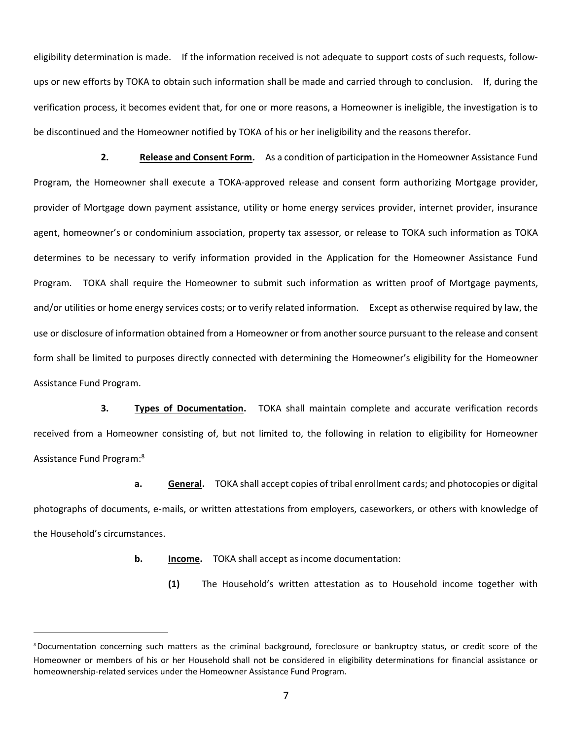eligibility determination is made. If the information received is not adequate to support costs of such requests, followups or new efforts by TOKA to obtain such information shall be made and carried through to conclusion. If, during the verification process, it becomes evident that, for one or more reasons, a Homeowner is ineligible, the investigation is to be discontinued and the Homeowner notified by TOKA of his or her ineligibility and the reasons therefor.

**2. Release and Consent Form.** As a condition of participation in the Homeowner Assistance Fund Program, the Homeowner shall execute a TOKA-approved release and consent form authorizing Mortgage provider, provider of Mortgage down payment assistance, utility or home energy services provider, internet provider, insurance agent, homeowner's or condominium association, property tax assessor, or release to TOKA such information as TOKA determines to be necessary to verify information provided in the Application for the Homeowner Assistance Fund Program. TOKA shall require the Homeowner to submit such information as written proof of Mortgage payments, and/or utilities or home energy services costs; or to verify related information. Except as otherwise required by law, the use or disclosure of information obtained from a Homeowner or from another source pursuant to the release and consent form shall be limited to purposes directly connected with determining the Homeowner's eligibility for the Homeowner Assistance Fund Program.

**3. Types of Documentation.** TOKA shall maintain complete and accurate verification records received from a Homeowner consisting of, but not limited to, the following in relation to eligibility for Homeowner Assistance Fund Program: 8

**a. General.** TOKA shall accept copies of tribal enrollment cards; and photocopies or digital photographs of documents, e-mails, or written attestations from employers, caseworkers, or others with knowledge of the Household's circumstances.

**b. Income.** TOKA shall accept as income documentation:

**(1)** The Household's written attestation as to Household income together with

<sup>&</sup>lt;sup>8</sup>Documentation concerning such matters as the criminal background, foreclosure or bankruptcy status, or credit score of the Homeowner or members of his or her Household shall not be considered in eligibility determinations for financial assistance or homeownership-related services under the Homeowner Assistance Fund Program.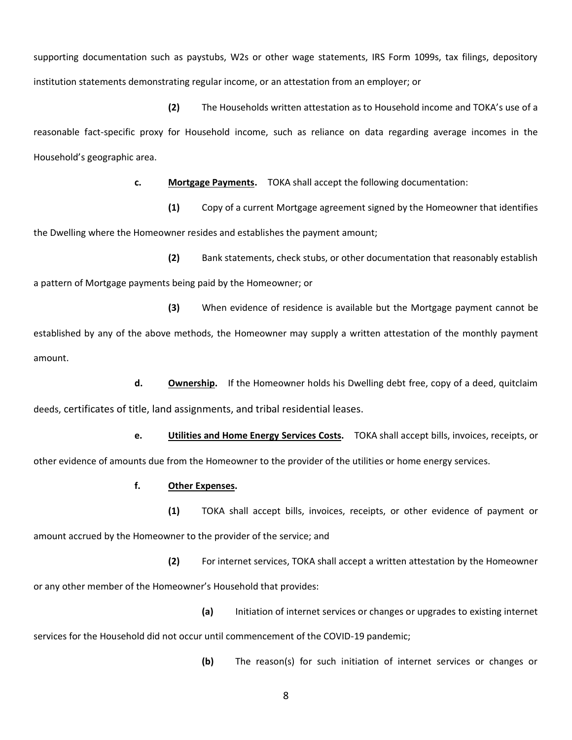supporting documentation such as paystubs, W2s or other wage statements, IRS Form 1099s, tax filings, depository institution statements demonstrating regular income, or an attestation from an employer; or

**(2)** The Households written attestation as to Household income and TOKA's use of a reasonable fact-specific proxy for Household income, such as reliance on data regarding average incomes in the Household's geographic area.

**c. Mortgage Payments.** TOKA shall accept the following documentation:

**(1)** Copy of a current Mortgage agreement signed by the Homeowner that identifies the Dwelling where the Homeowner resides and establishes the payment amount;

**(2)** Bank statements, check stubs, or other documentation that reasonably establish a pattern of Mortgage payments being paid by the Homeowner; or

**(3)** When evidence of residence is available but the Mortgage payment cannot be established by any of the above methods, the Homeowner may supply a written attestation of the monthly payment amount.

**d. Ownership.** If the Homeowner holds his Dwelling debt free, copy of a deed, quitclaim deeds, certificates of title, land assignments, and tribal residential leases.

**e. Utilities and Home Energy Services Costs.** TOKA shall accept bills, invoices, receipts, or other evidence of amounts due from the Homeowner to the provider of the utilities or home energy services.

**f. Other Expenses.** 

**(1)** TOKA shall accept bills, invoices, receipts, or other evidence of payment or amount accrued by the Homeowner to the provider of the service; and

**(2)** For internet services, TOKA shall accept a written attestation by the Homeowner or any other member of the Homeowner's Household that provides:

**(a)** Initiation of internet services or changes or upgrades to existing internet services for the Household did not occur until commencement of the COVID-19 pandemic;

**(b)** The reason(s) for such initiation of internet services or changes or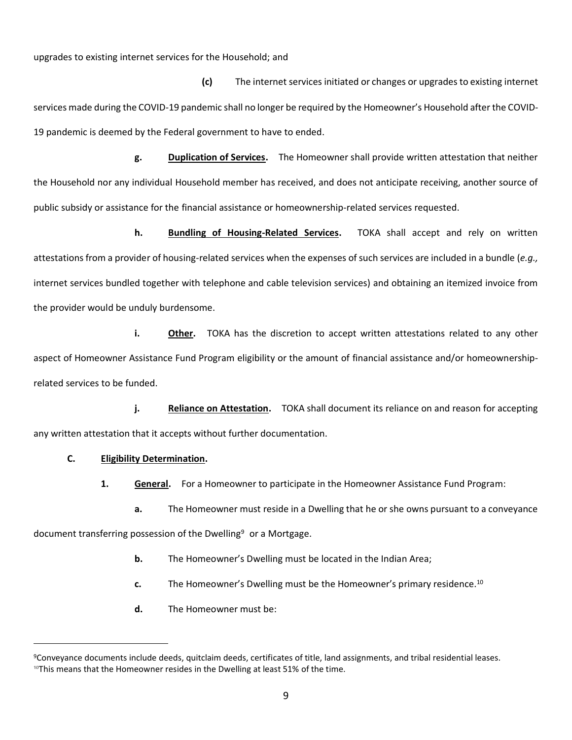upgrades to existing internet services for the Household; and

**(c)** The internet services initiated or changes or upgrades to existing internet services made during the COVID-19 pandemic shall no longer be required by the Homeowner's Household after the COVID-19 pandemic is deemed by the Federal government to have to ended.

**g. Duplication of Services.** The Homeowner shall provide written attestation that neither the Household nor any individual Household member has received, and does not anticipate receiving, another source of public subsidy or assistance for the financial assistance or homeownership-related services requested.

**h. Bundling of Housing-Related Services.** TOKA shall accept and rely on written attestations from a provider of housing-related services when the expenses of such services are included in a bundle (*e.g.,* internet services bundled together with telephone and cable television services) and obtaining an itemized invoice from the provider would be unduly burdensome.

**i. Other.** TOKA has the discretion to accept written attestations related to any other aspect of Homeowner Assistance Fund Program eligibility or the amount of financial assistance and/or homeownershiprelated services to be funded.

**j. Reliance on Attestation.** TOKA shall document its reliance on and reason for accepting any written attestation that it accepts without further documentation.

## **C. Eligibility Determination.**

**1. General.** For a Homeowner to participate in the Homeowner Assistance Fund Program:

**a.** The Homeowner must reside in a Dwelling that he or she owns pursuant to a conveyance

document transferring possession of the Dwelling<sup>9</sup> or a Mortgage.

- **b.** The Homeowner's Dwelling must be located in the Indian Area;
- **c.** The Homeowner's Dwelling must be the Homeowner's primary residence.<sup>10</sup>
- **d.** The Homeowner must be:

<sup>9</sup>Conveyance documents include deeds, quitclaim deeds, certificates of title, land assignments, and tribal residential leases.  $10$ This means that the Homeowner resides in the Dwelling at least 51% of the time.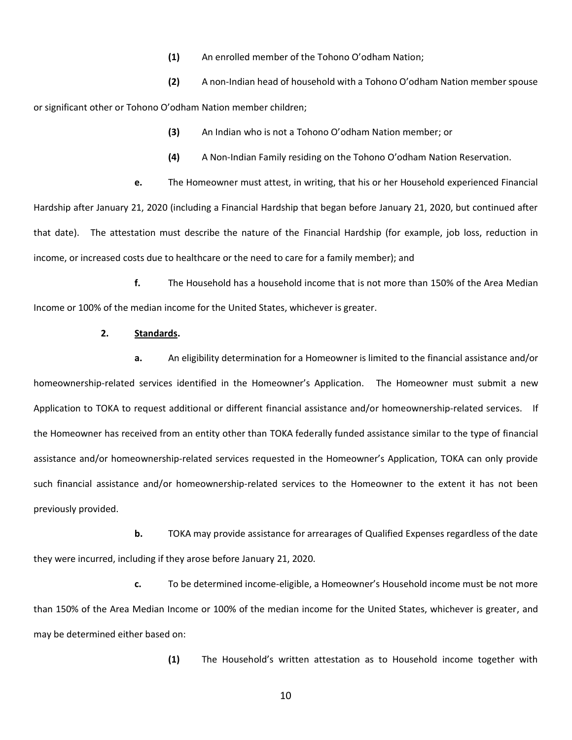**(1)** An enrolled member of the Tohono O'odham Nation;

**(2)** A non-Indian head of household with a Tohono O'odham Nation member spouse or significant other or Tohono O'odham Nation member children;

- **(3)** An Indian who is not a Tohono O'odham Nation member; or
- **(4)** A Non-Indian Family residing on the Tohono O'odham Nation Reservation.

**e.** The Homeowner must attest, in writing, that his or her Household experienced Financial Hardship after January 21, 2020 (including a Financial Hardship that began before January 21, 2020, but continued after that date). The attestation must describe the nature of the Financial Hardship (for example, job loss, reduction in income, or increased costs due to healthcare or the need to care for a family member); and

**f.** The Household has a household income that is not more than 150% of the Area Median Income or 100% of the median income for the United States, whichever is greater.

### **2. Standards.**

**a.** An eligibility determination for a Homeowner is limited to the financial assistance and/or homeownership-related services identified in the Homeowner's Application. The Homeowner must submit a new Application to TOKA to request additional or different financial assistance and/or homeownership-related services. If the Homeowner has received from an entity other than TOKA federally funded assistance similar to the type of financial assistance and/or homeownership-related services requested in the Homeowner's Application, TOKA can only provide such financial assistance and/or homeownership-related services to the Homeowner to the extent it has not been previously provided.

**b.** TOKA may provide assistance for arrearages of Qualified Expenses regardless of the date they were incurred, including if they arose before January 21, 2020.

**c.** To be determined income-eligible, a Homeowner's Household income must be not more than 150% of the Area Median Income or 100% of the median income for the United States, whichever is greater, and may be determined either based on:

**(1)** The Household's written attestation as to Household income together with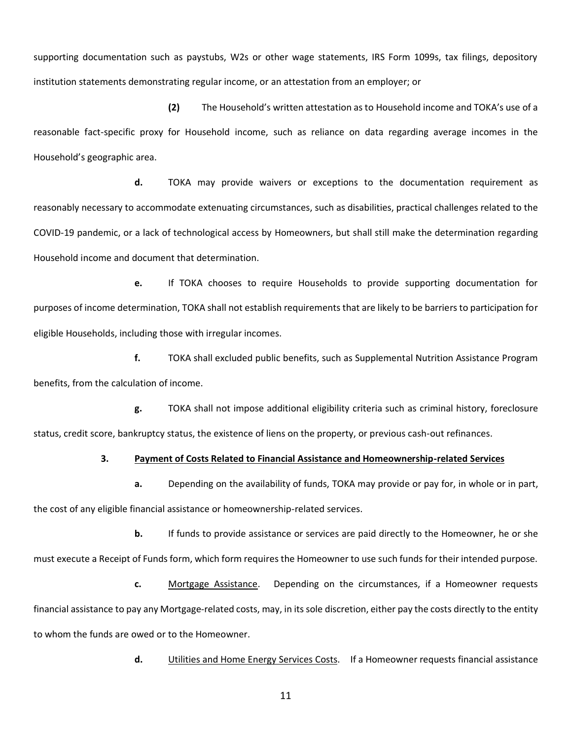supporting documentation such as paystubs, W2s or other wage statements, IRS Form 1099s, tax filings, depository institution statements demonstrating regular income, or an attestation from an employer; or

**(2)** The Household's written attestation as to Household income and TOKA's use of a reasonable fact-specific proxy for Household income, such as reliance on data regarding average incomes in the Household's geographic area.

**d.** TOKA may provide waivers or exceptions to the documentation requirement as reasonably necessary to accommodate extenuating circumstances, such as disabilities, practical challenges related to the COVID-19 pandemic, or a lack of technological access by Homeowners, but shall still make the determination regarding Household income and document that determination.

**e.** If TOKA chooses to require Households to provide supporting documentation for purposes of income determination, TOKA shall not establish requirements that are likely to be barriers to participation for eligible Households, including those with irregular incomes.

**f.** TOKA shall excluded public benefits, such as Supplemental Nutrition Assistance Program benefits, from the calculation of income.

**g.** TOKA shall not impose additional eligibility criteria such as criminal history, foreclosure status, credit score, bankruptcy status, the existence of liens on the property, or previous cash-out refinances.

## **3. Payment of Costs Related to Financial Assistance and Homeownership-related Services**

**a.** Depending on the availability of funds, TOKA may provide or pay for, in whole or in part, the cost of any eligible financial assistance or homeownership-related services.

**b.** If funds to provide assistance or services are paid directly to the Homeowner, he or she must execute a Receipt of Funds form, which form requires the Homeowner to use such funds for their intended purpose.

**c.** Mortgage Assistance. Depending on the circumstances, if a Homeowner requests financial assistance to pay any Mortgage-related costs, may, in its sole discretion, either pay the costs directly to the entity to whom the funds are owed or to the Homeowner.

**d.** Utilities and Home Energy Services Costs.If a Homeowner requests financial assistance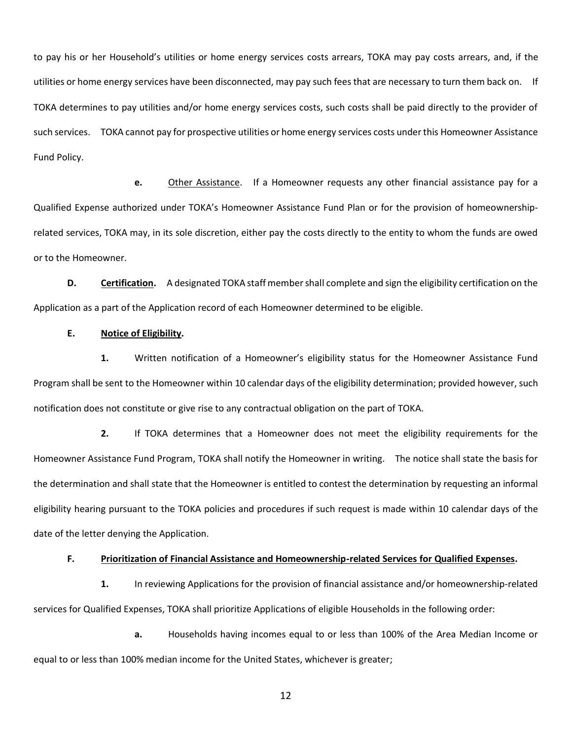to pay his or her Household's utilities or home energy services costs arrears, TOKA may pay costs arrears, and, if the utilities or home energy services have been disconnected, may pay such fees that are necessary to turn them back on. If TOKA determines to pay utilities and/or home energy services costs, such costs shall be paid directly to the provider of such services. TOKA cannot pay for prospective utilities or home energy services costs under this Homeowner Assistance Fund Policy.

**e.** Other Assistance. If a Homeowner requests any other financial assistance pay for a Qualified Expense authorized under TOKA's Homeowner Assistance Fund Plan or for the provision of homeownershiprelated services, TOKA may, in its sole discretion, either pay the costs directly to the entity to whom the funds are owed or to the Homeowner.

**D. Certification.** A designated TOKA staff member shall complete and sign the eligibility certification on the Application as a part of the Application record of each Homeowner determined to be eligible.

#### **E. Notice of Eligibility.**

**1.** Written notification of a Homeowner's eligibility status for the Homeowner Assistance Fund Program shall be sent to the Homeowner within 10 calendar days of the eligibility determination; provided however, such notification does not constitute or give rise to any contractual obligation on the part of TOKA.

**2.** If TOKA determines that a Homeowner does not meet the eligibility requirements for the Homeowner Assistance Fund Program, TOKA shall notify the Homeowner in writing. The notice shall state the basis for the determination and shall state that the Homeowner is entitled to contest the determination by requesting an informal eligibility hearing pursuant to the TOKA policies and procedures if such request is made within 10 calendar days of the date of the letter denying the Application.

#### **F. Prioritization of Financial Assistance and Homeownership-related Services for Qualified Expenses.**

**1.** In reviewing Applications for the provision of financial assistance and/or homeownership-related services for Qualified Expenses, TOKA shall prioritize Applications of eligible Households in the following order:

**a.** Households having incomes equal to or less than 100% of the Area Median Income or equal to or less than 100% median income for the United States, whichever is greater;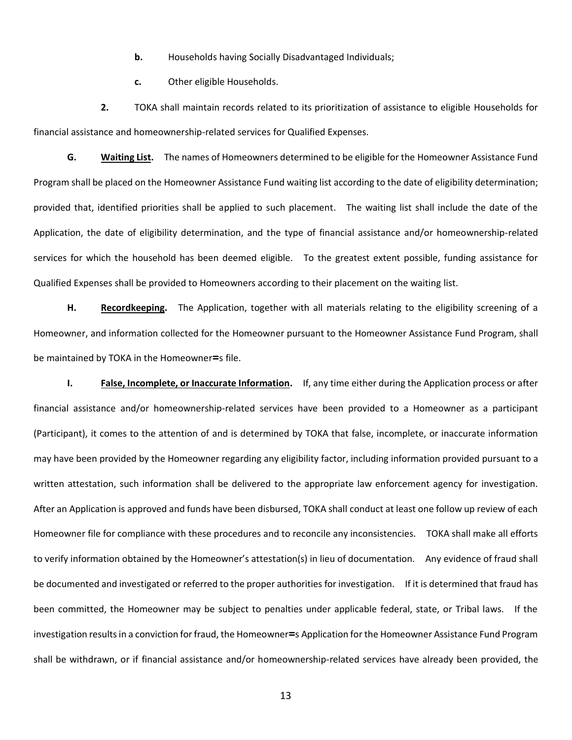- **b.** Households having Socially Disadvantaged Individuals;
- **c.** Other eligible Households.

**2.** TOKA shall maintain records related to its prioritization of assistance to eligible Households for financial assistance and homeownership-related services for Qualified Expenses.

**G. Waiting List.** The names of Homeowners determined to be eligible for the Homeowner Assistance Fund Program shall be placed on the Homeowner Assistance Fund waiting list according to the date of eligibility determination; provided that, identified priorities shall be applied to such placement. The waiting list shall include the date of the Application, the date of eligibility determination, and the type of financial assistance and/or homeownership-related services for which the household has been deemed eligible. To the greatest extent possible, funding assistance for Qualified Expenses shall be provided to Homeowners according to their placement on the waiting list.

**H. Recordkeeping.** The Application, together with all materials relating to the eligibility screening of a Homeowner, and information collected for the Homeowner pursuant to the Homeowner Assistance Fund Program, shall be maintained by TOKA in the Homeowner**=**s file.

**I. False, Incomplete, or Inaccurate Information.** If, any time either during the Application process or after financial assistance and/or homeownership-related services have been provided to a Homeowner as a participant (Participant), it comes to the attention of and is determined by TOKA that false, incomplete, or inaccurate information may have been provided by the Homeowner regarding any eligibility factor, including information provided pursuant to a written attestation, such information shall be delivered to the appropriate law enforcement agency for investigation. After an Application is approved and funds have been disbursed, TOKA shall conduct at least one follow up review of each Homeowner file for compliance with these procedures and to reconcile any inconsistencies. TOKA shall make all efforts to verify information obtained by the Homeowner's attestation(s) in lieu of documentation. Any evidence of fraud shall be documented and investigated or referred to the proper authorities for investigation. If it is determined that fraud has been committed, the Homeowner may be subject to penalties under applicable federal, state, or Tribal laws. If the investigation results in a conviction for fraud, the Homeowner**=**s Application for the Homeowner Assistance Fund Program shall be withdrawn, or if financial assistance and/or homeownership-related services have already been provided, the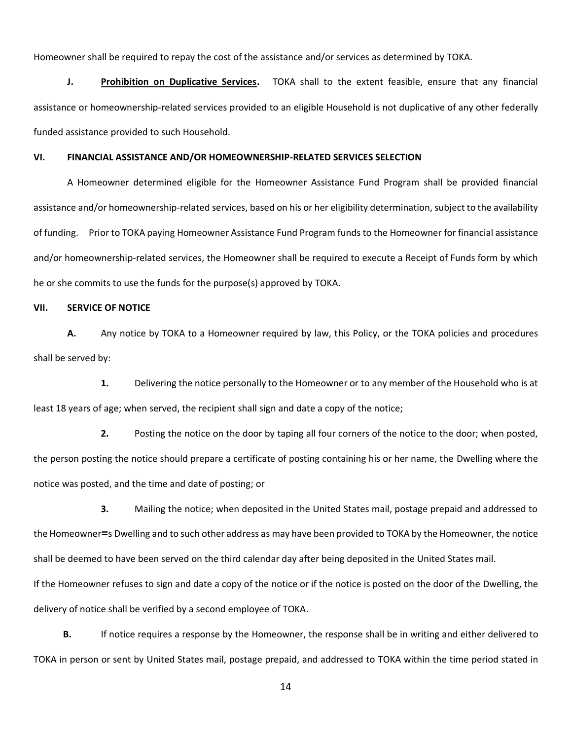Homeowner shall be required to repay the cost of the assistance and/or services as determined by TOKA.

**J. Prohibition on Duplicative Services.** TOKA shall to the extent feasible, ensure that any financial assistance or homeownership-related services provided to an eligible Household is not duplicative of any other federally funded assistance provided to such Household.

#### **VI. FINANCIAL ASSISTANCE AND/OR HOMEOWNERSHIP-RELATED SERVICES SELECTION**

A Homeowner determined eligible for the Homeowner Assistance Fund Program shall be provided financial assistance and/or homeownership-related services, based on his or her eligibility determination, subject to the availability of funding. Prior to TOKA paying Homeowner Assistance Fund Program funds to the Homeowner for financial assistance and/or homeownership-related services, the Homeowner shall be required to execute a Receipt of Funds form by which he or she commits to use the funds for the purpose(s) approved by TOKA.

## **VII. SERVICE OF NOTICE**

**A.** Any notice by TOKA to a Homeowner required by law, this Policy, or the TOKA policies and procedures shall be served by:

**1.** Delivering the notice personally to the Homeowner or to any member of the Household who is at least 18 years of age; when served, the recipient shall sign and date a copy of the notice;

**2.** Posting the notice on the door by taping all four corners of the notice to the door; when posted, the person posting the notice should prepare a certificate of posting containing his or her name, the Dwelling where the notice was posted, and the time and date of posting; or

**3.** Mailing the notice; when deposited in the United States mail, postage prepaid and addressed to the Homeowner**=**s Dwelling and to such other address as may have been provided to TOKA by the Homeowner, the notice shall be deemed to have been served on the third calendar day after being deposited in the United States mail. If the Homeowner refuses to sign and date a copy of the notice or if the notice is posted on the door of the Dwelling, the delivery of notice shall be verified by a second employee of TOKA.

**B.** If notice requires a response by the Homeowner, the response shall be in writing and either delivered to TOKA in person or sent by United States mail, postage prepaid, and addressed to TOKA within the time period stated in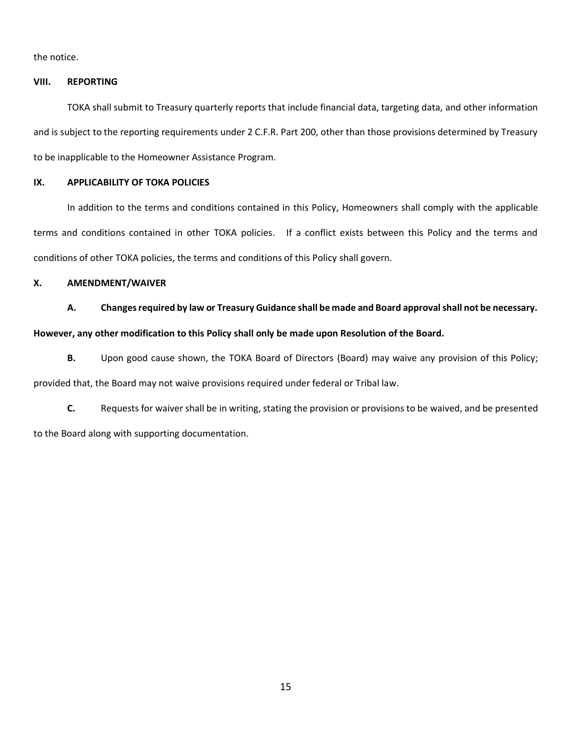the notice.

## **VIII. REPORTING**

TOKA shall submit to Treasury quarterly reports that include financial data, targeting data, and other information and is subject to the reporting requirements under 2 C.F.R. Part 200, other than those provisions determined by Treasury to be inapplicable to the Homeowner Assistance Program.

## **IX. APPLICABILITY OF TOKA POLICIES**

In addition to the terms and conditions contained in this Policy, Homeowners shall comply with the applicable terms and conditions contained in other TOKA policies. If a conflict exists between this Policy and the terms and conditions of other TOKA policies, the terms and conditions of this Policy shall govern.

## **X. AMENDMENT/WAIVER**

**A. Changes required by law or Treasury Guidance shall be made and Board approval shall not be necessary.** 

### **However, any other modification to this Policy shall only be made upon Resolution of the Board.**

**B.** Upon good cause shown, the TOKA Board of Directors (Board) may waive any provision of this Policy; provided that, the Board may not waive provisions required under federal or Tribal law.

**C.** Requests for waiver shall be in writing, stating the provision or provisions to be waived, and be presented to the Board along with supporting documentation.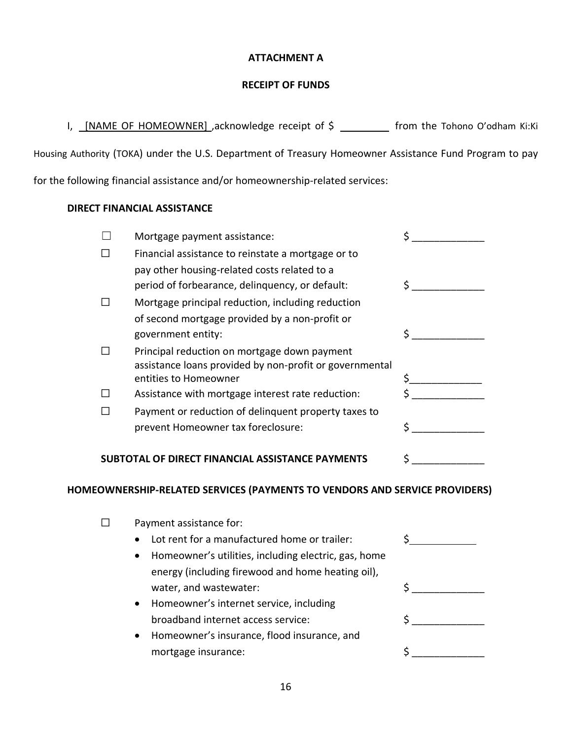# **ATTACHMENT A**

# **RECEIPT OF FUNDS**

I, [NAME OF HOMEOWNER] ,acknowledge receipt of \$ \_\_\_\_\_\_\_\_ from the Tohono O'odham Ki:Ki

Housing Authority (TOKA) under the U.S. Department of Treasury Homeowner Assistance Fund Program to pay

for the following financial assistance and/or homeownership-related services:

# **DIRECT FINANCIAL ASSISTANCE**

|   | Mortgage payment assistance:                                                                            |    |
|---|---------------------------------------------------------------------------------------------------------|----|
|   | Financial assistance to reinstate a mortgage or to                                                      |    |
|   | pay other housing-related costs related to a                                                            |    |
|   | period of forbearance, delinquency, or default:                                                         | Ś. |
| П | Mortgage principal reduction, including reduction                                                       |    |
|   | of second mortgage provided by a non-profit or                                                          |    |
|   | government entity:                                                                                      |    |
| П | Principal reduction on mortgage down payment<br>assistance loans provided by non-profit or governmental |    |
|   | entities to Homeowner                                                                                   |    |
|   | Assistance with mortgage interest rate reduction:                                                       |    |
|   | Payment or reduction of delinquent property taxes to                                                    |    |
|   | prevent Homeowner tax foreclosure:                                                                      | Š. |
|   | SUBTOTAL OF DIRECT FINANCIAL ASSISTANCE PAYMENTS                                                        | Ś  |
|   | HOMEOWNERSHIP-RELATED SERVICES (PAYMENTS TO VENDORS AND SERVICE PROVIDERS)                              |    |
|   | Payment assistance for:                                                                                 |    |
|   | Lot rent for a manufactured home or trailer:                                                            |    |

- Homeowner's utilities, including electric, gas, home energy (including firewood and home heating oil), water, and wastewater: \$ \_\_\_\_\_\_\_\_\_\_\_\_\_
- Homeowner's internet service, including broadband internet access service: \$ \_\_\_\_\_\_\_\_\_\_\_\_\_
- Homeowner's insurance, flood insurance, and mortgage insurance: \$ \_\_\_\_\_\_\_\_\_\_\_\_\_